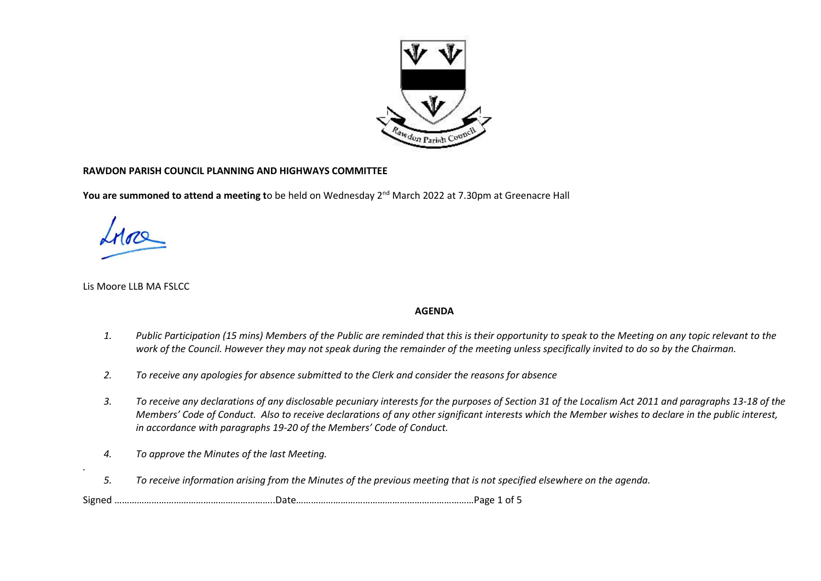

## **RAWDON PARISH COUNCIL PLANNING AND HIGHWAYS COMMITTEE**

**You are summoned to attend a meeting t**o be held on Wednesday 2<sup>nd</sup> March 2022 at 7.30pm at Greenacre Hall

Lis Moore LLB MA FSLCC

*.* 

## **AGENDA**

- *1. Public Participation (15 mins) Members of the Public are reminded that this is their opportunity to speak to the Meeting on any topic relevant to the work of the Council. However they may not speak during the remainder of the meeting unless specifically invited to do so by the Chairman.*
- *2. To receive any apologies for absence submitted to the Clerk and consider the reasons for absence*
- *3. To receive any declarations of any disclosable pecuniary interests for the purposes of Section 31 of the Localism Act 2011 and paragraphs 13-18 of the Members' Code of Conduct. Also to receive declarations of any other significant interests which the Member wishes to declare in the public interest, in accordance with paragraphs 19-20 of the Members' Code of Conduct.*
- *4. To approve the Minutes of the last Meeting.*
- *5. To receive information arising from the Minutes of the previous meeting that is not specified elsewhere on the agenda.*

Signed ………………………………………………………..Date………………………………………………………………Page 1 of 5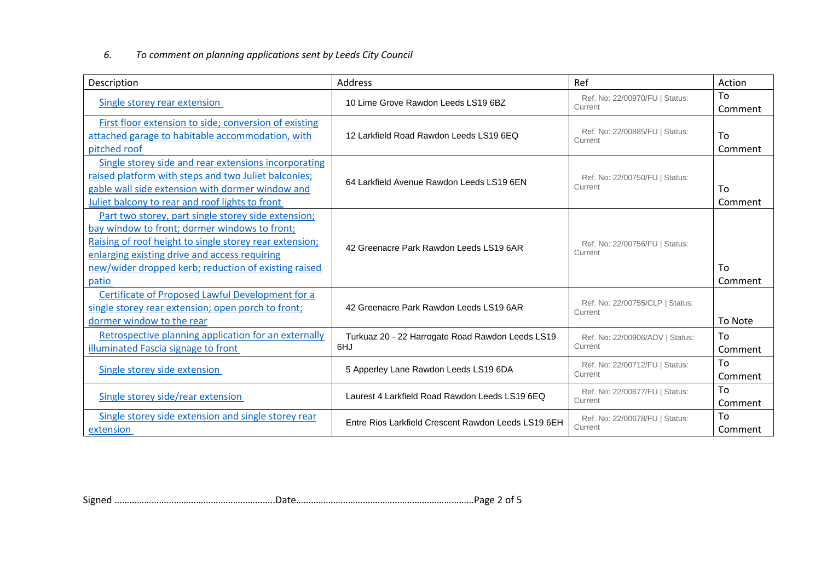## *6. To comment on planning applications sent by Leeds City Council*

| Description                                                                                                                                                                                                                                                                       | Address                                                 | Ref                                        | Action        |
|-----------------------------------------------------------------------------------------------------------------------------------------------------------------------------------------------------------------------------------------------------------------------------------|---------------------------------------------------------|--------------------------------------------|---------------|
| Single storey rear extension                                                                                                                                                                                                                                                      | 10 Lime Grove Rawdon Leeds LS19 6BZ                     | Ref. No: 22/00970/FU   Status:<br>Current  | To<br>Comment |
| First floor extension to side; conversion of existing<br>attached garage to habitable accommodation, with<br>pitched roof                                                                                                                                                         | 12 Larkfield Road Rawdon Leeds LS19 6EQ                 | Ref. No: 22/00885/FU   Status:<br>Current  | To<br>Comment |
| Single storey side and rear extensions incorporating<br>raised platform with steps and two Juliet balconies;<br>gable wall side extension with dormer window and<br>Juliet balcony to rear and roof lights to front                                                               | 64 Larkfield Avenue Rawdon Leeds LS19 6EN               | Ref. No: 22/00750/FU   Status:<br>Current  | To<br>Comment |
| Part two storey, part single storey side extension;<br>bay window to front; dormer windows to front;<br>Raising of roof height to single storey rear extension;<br>enlarging existing drive and access requiring<br>new/wider dropped kerb; reduction of existing raised<br>patio | 42 Greenacre Park Rawdon Leeds LS19 6AR                 | Ref. No: 22/00756/FU   Status:<br>Current  | To<br>Comment |
| Certificate of Proposed Lawful Development for a<br>single storey rear extension; open porch to front;<br>dormer window to the rear                                                                                                                                               | 42 Greenacre Park Rawdon Leeds LS19 6AR                 | Ref. No: 22/00755/CLP   Status:<br>Current | To Note       |
| Retrospective planning application for an externally<br>illuminated Fascia signage to front                                                                                                                                                                                       | Turkuaz 20 - 22 Harrogate Road Rawdon Leeds LS19<br>6HJ | Ref. No: 22/00906/ADV   Status:<br>Current | To<br>Comment |
| Single storey side extension                                                                                                                                                                                                                                                      | 5 Apperley Lane Rawdon Leeds LS19 6DA                   | Ref. No: 22/00712/FU   Status:<br>Current  | To<br>Comment |
| Single storey side/rear extension                                                                                                                                                                                                                                                 | Laurest 4 Larkfield Road Rawdon Leeds LS19 6EQ          | Ref. No: 22/00677/FU   Status:<br>Current  | To<br>Comment |
| Single storey side extension and single storey rear<br>extension                                                                                                                                                                                                                  | Entre Rios Larkfield Crescent Rawdon Leeds LS19 6EH     | Ref. No: 22/00678/FU   Status:<br>Current  | To<br>Comment |

Signed ………………………………………………………..Date………………………………………………………………Page 2 of 5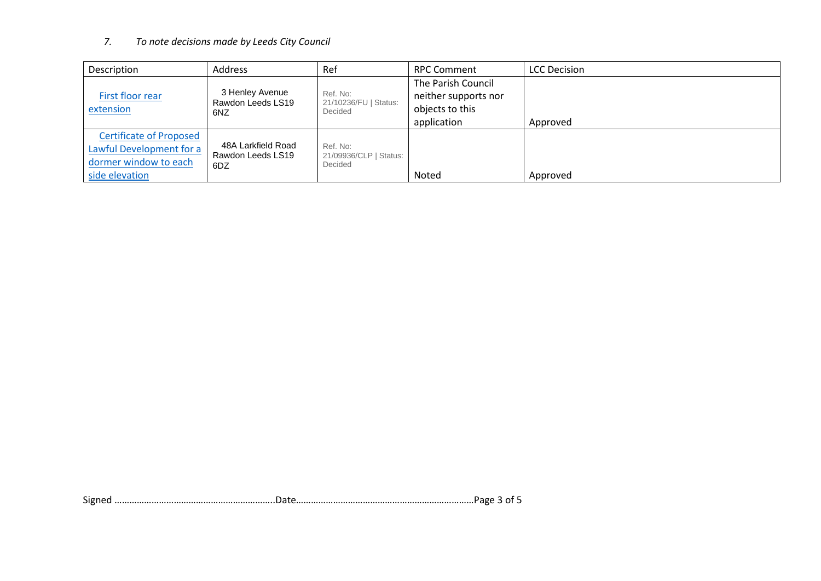## *7. To note decisions made by Leeds City Council*

| Description                    | Address                              | Ref                               | <b>RPC Comment</b>   | <b>LCC Decision</b> |
|--------------------------------|--------------------------------------|-----------------------------------|----------------------|---------------------|
|                                |                                      |                                   | The Parish Council   |                     |
| First floor rear               | 3 Henley Avenue<br>Rawdon Leeds LS19 | Ref. No:<br>21/10236/FU   Status: | neither supports nor |                     |
| extension                      | 6NZ                                  | Decided                           | objects to this      |                     |
|                                |                                      |                                   | application          | Approved            |
| <b>Certificate of Proposed</b> |                                      |                                   |                      |                     |
| Lawful Development for a       | 48A Larkfield Road                   | Ref. No:                          |                      |                     |
| dormer window to each          | Rawdon Leeds LS19<br>6DZ             | 21/09936/CLP   Status:<br>Decided |                      |                     |
| side elevation                 |                                      |                                   | Noted                | Approved            |

Signed ………………………………………………………..Date………………………………………………………………Page 3 of 5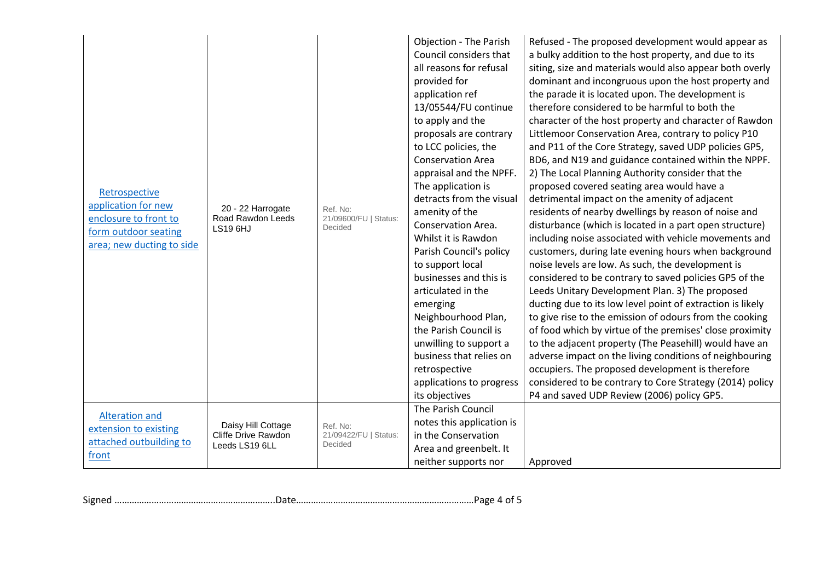| Retrospective<br>application for new<br>enclosure to front to<br>form outdoor seating<br>area; new ducting to side | 20 - 22 Harrogate<br>Road Rawdon Leeds<br><b>LS19 6HJ</b>   | Ref. No:<br>21/09600/FU   Status:<br>Decided | <b>Objection - The Parish</b><br>Council considers that<br>all reasons for refusal<br>provided for<br>application ref<br>13/05544/FU continue<br>to apply and the<br>proposals are contrary<br>to LCC policies, the<br><b>Conservation Area</b><br>appraisal and the NPFF.<br>The application is<br>detracts from the visual<br>amenity of the<br>Conservation Area.<br>Whilst it is Rawdon<br>Parish Council's policy<br>to support local<br>businesses and this is<br>articulated in the<br>emerging<br>Neighbourhood Plan,<br>the Parish Council is<br>unwilling to support a<br>business that relies on<br>retrospective<br>applications to progress<br>its objectives<br>The Parish Council | Refused - The proposed development would appear as<br>a bulky addition to the host property, and due to its<br>siting, size and materials would also appear both overly<br>dominant and incongruous upon the host property and<br>the parade it is located upon. The development is<br>therefore considered to be harmful to both the<br>character of the host property and character of Rawdon<br>Littlemoor Conservation Area, contrary to policy P10<br>and P11 of the Core Strategy, saved UDP policies GP5,<br>BD6, and N19 and guidance contained within the NPPF.<br>2) The Local Planning Authority consider that the<br>proposed covered seating area would have a<br>detrimental impact on the amenity of adjacent<br>residents of nearby dwellings by reason of noise and<br>disturbance (which is located in a part open structure)<br>including noise associated with vehicle movements and<br>customers, during late evening hours when background<br>noise levels are low. As such, the development is<br>considered to be contrary to saved policies GP5 of the<br>Leeds Unitary Development Plan. 3) The proposed<br>ducting due to its low level point of extraction is likely<br>to give rise to the emission of odours from the cooking<br>of food which by virtue of the premises' close proximity<br>to the adjacent property (The Peasehill) would have an<br>adverse impact on the living conditions of neighbouring<br>occupiers. The proposed development is therefore<br>considered to be contrary to Core Strategy (2014) policy<br>P4 and saved UDP Review (2006) policy GP5. |
|--------------------------------------------------------------------------------------------------------------------|-------------------------------------------------------------|----------------------------------------------|--------------------------------------------------------------------------------------------------------------------------------------------------------------------------------------------------------------------------------------------------------------------------------------------------------------------------------------------------------------------------------------------------------------------------------------------------------------------------------------------------------------------------------------------------------------------------------------------------------------------------------------------------------------------------------------------------|------------------------------------------------------------------------------------------------------------------------------------------------------------------------------------------------------------------------------------------------------------------------------------------------------------------------------------------------------------------------------------------------------------------------------------------------------------------------------------------------------------------------------------------------------------------------------------------------------------------------------------------------------------------------------------------------------------------------------------------------------------------------------------------------------------------------------------------------------------------------------------------------------------------------------------------------------------------------------------------------------------------------------------------------------------------------------------------------------------------------------------------------------------------------------------------------------------------------------------------------------------------------------------------------------------------------------------------------------------------------------------------------------------------------------------------------------------------------------------------------------------------------------------------------------------------------------------------------------------|
| <b>Alteration and</b><br>extension to existing<br>attached outbuilding to<br>front                                 | Daisy Hill Cottage<br>Cliffe Drive Rawdon<br>Leeds LS19 6LL | Ref. No:<br>21/09422/FU   Status:<br>Decided | notes this application is<br>in the Conservation<br>Area and greenbelt. It<br>neither supports nor                                                                                                                                                                                                                                                                                                                                                                                                                                                                                                                                                                                               | Approved                                                                                                                                                                                                                                                                                                                                                                                                                                                                                                                                                                                                                                                                                                                                                                                                                                                                                                                                                                                                                                                                                                                                                                                                                                                                                                                                                                                                                                                                                                                                                                                                   |

Signed ………………………………………………………..Date………………………………………………………………Page 4 of 5